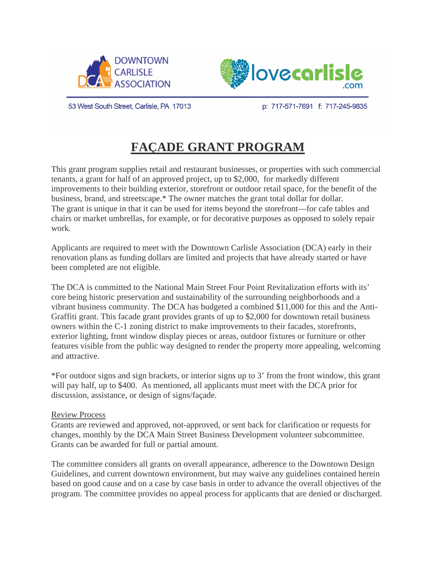



53 West South Street, Carlisle, PA 17013

p: 717-571-7691 f: 717-245-9835

# **FAÇADE GRANT PROGRAM**

This grant program supplies retail and restaurant businesses, or properties with such commercial tenants, a grant for half of an approved project, up to \$2,000, for markedly different improvements to their building exterior, storefront or outdoor retail space, for the benefit of the business, brand, and streetscape.\* The owner matches the grant total dollar for dollar. The grant is unique in that it can be used for items beyond the storefront—for cafe tables and chairs or market umbrellas, for example, or for decorative purposes as opposed to solely repair work.

Applicants are required to meet with the Downtown Carlisle Association (DCA) early in their renovation plans as funding dollars are limited and projects that have already started or have been completed are not eligible.

The DCA is committed to the National Main Street Four Point Revitalization efforts with its' core being historic preservation and sustainability of the surrounding neighborhoods and a vibrant business community. The DCA has budgeted a combined \$11,000 for this and the Anti-Graffiti grant. This facade grant provides grants of up to \$2,000 for downtown retail business owners within the C-1 zoning district to make improvements to their facades, storefronts, exterior lighting, front window display pieces or areas, outdoor fixtures or furniture or other features visible from the public way designed to render the property more appealing, welcoming and attractive.

\*For outdoor signs and sign brackets, or interior signs up to 3' from the front window, this grant will pay half, up to \$400. As mentioned, all applicants must meet with the DCA prior for discussion, assistance, or design of signs/façade.

#### Review Process

Grants are reviewed and approved, not-approved, or sent back for clarification or requests for changes, monthly by the DCA Main Street Business Development volunteer subcommittee. Grants can be awarded for full or partial amount.

The committee considers all grants on overall appearance, adherence to the Downtown Design Guidelines, and current downtown environment, but may waive any guidelines contained herein based on good cause and on a case by case basis in order to advance the overall objectives of the program. The committee provides no appeal process for applicants that are denied or discharged.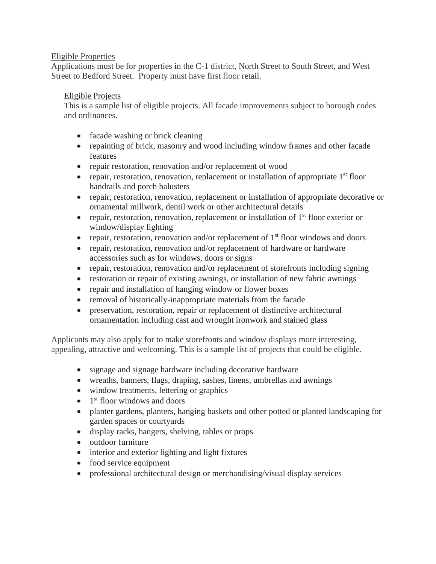## Eligible Properties

Applications must be for properties in the C-1 district, North Street to South Street, and West Street to Bedford Street. Property must have first floor retail.

## Eligible Projects

This is a sample list of eligible projects. All facade improvements subject to borough codes and ordinances.

- facade washing or brick cleaning
- repainting of brick, masonry and wood including window frames and other facade features
- repair restoration, renovation and/or replacement of wood
- repair, restoration, renovation, replacement or installation of appropriate  $1<sup>st</sup>$  floor handrails and porch balusters
- repair, restoration, renovation, replacement or installation of appropriate decorative or ornamental millwork, dentil work or other architectural details
- repair, restoration, renovation, replacement or installation of  $1<sup>st</sup>$  floor exterior or window/display lighting
- repair, restoration, renovation and/or replacement of  $1<sup>st</sup>$  floor windows and doors
- repair, restoration, renovation and/or replacement of hardware or hardware accessories such as for windows, doors or signs
- repair, restoration, renovation and/or replacement of storefronts including signing
- restoration or repair of existing awnings, or installation of new fabric awnings
- repair and installation of hanging window or flower boxes
- removal of historically-inappropriate materials from the facade
- preservation, restoration, repair or replacement of distinctive architectural ornamentation including cast and wrought ironwork and stained glass

Applicants may also apply for to make storefronts and window displays more interesting, appealing, attractive and welcoming. This is a sample list of projects that could be eligible.

- signage and signage hardware including decorative hardware
- wreaths, banners, flags, draping, sashes, linens, umbrellas and awnings
- window treatments, lettering or graphics
- $\bullet$  1<sup>st</sup> floor windows and doors
- planter gardens, planters, hanging baskets and other potted or planted landscaping for garden spaces or courtyards
- display racks, hangers, shelving, tables or props
- outdoor furniture
- interior and exterior lighting and light fixtures
- food service equipment
- professional architectural design or merchandising/visual display services